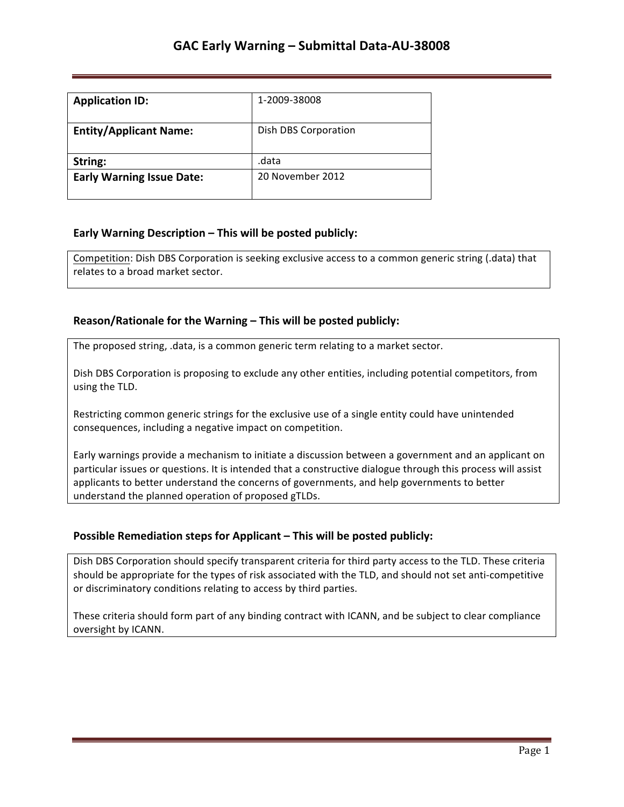| <b>Application ID:</b>           | 1-2009-38008         |
|----------------------------------|----------------------|
| <b>Entity/Applicant Name:</b>    | Dish DBS Corporation |
| String:                          | .data                |
| <b>Early Warning Issue Date:</b> | 20 November 2012     |

## **Early Warning Description – This will be posted publicly:**

Competition: Dish DBS Corporation is seeking exclusive access to a common generic string (.data) that relates to a broad market sector.

### **Reason/Rationale for the Warning – This will be posted publicly:**

The proposed string, .data, is a common generic term relating to a market sector.

Dish DBS Corporation is proposing to exclude any other entities, including potential competitors, from using the TLD.

Restricting common generic strings for the exclusive use of a single entity could have unintended consequences, including a negative impact on competition.

Early warnings provide a mechanism to initiate a discussion between a government and an applicant on particular issues or questions. It is intended that a constructive dialogue through this process will assist applicants to better understand the concerns of governments, and help governments to better understand the planned operation of proposed gTLDs.

### **Possible Remediation steps for Applicant – This will be posted publicly:**

Dish DBS Corporation should specify transparent criteria for third party access to the TLD. These criteria should be appropriate for the types of risk associated with the TLD, and should not set anti-competitive or discriminatory conditions relating to access by third parties.

These criteria should form part of any binding contract with ICANN, and be subject to clear compliance oversight by ICANN.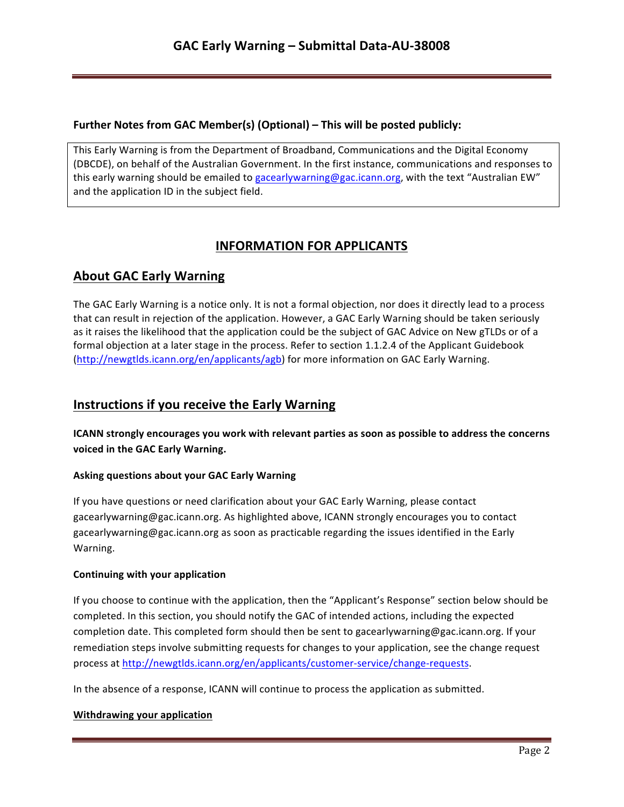### **Further Notes from GAC Member(s) (Optional) – This will be posted publicly:**

This Early Warning is from the Department of Broadband, Communications and the Digital Economy (DBCDE), on behalf of the Australian Government. In the first instance, communications and responses to this early warning should be emailed to gacearlywarning@gac.icann.org, with the text "Australian EW" and the application ID in the subject field.

# **INFORMATION FOR APPLICANTS**

# **About GAC Early Warning**

The GAC Early Warning is a notice only. It is not a formal objection, nor does it directly lead to a process that can result in rejection of the application. However, a GAC Early Warning should be taken seriously as it raises the likelihood that the application could be the subject of GAC Advice on New gTLDs or of a formal objection at a later stage in the process. Refer to section 1.1.2.4 of the Applicant Guidebook (http://newgtlds.icann.org/en/applicants/agb) for more information on GAC Early Warning.

# **Instructions if you receive the Early Warning**

**ICANN** strongly encourages you work with relevant parties as soon as possible to address the concerns voiced in the GAC Early Warning.

### **Asking questions about your GAC Early Warning**

If you have questions or need clarification about your GAC Early Warning, please contact gacearlywarning@gac.icann.org. As highlighted above, ICANN strongly encourages you to contact gacearlywarning@gac.icann.org as soon as practicable regarding the issues identified in the Early Warning. 

### **Continuing with your application**

If you choose to continue with the application, then the "Applicant's Response" section below should be completed. In this section, you should notify the GAC of intended actions, including the expected completion date. This completed form should then be sent to gacearlywarning@gac.icann.org. If your remediation steps involve submitting requests for changes to your application, see the change request process at http://newgtlds.icann.org/en/applicants/customer-service/change-requests.

In the absence of a response, ICANN will continue to process the application as submitted.

### **Withdrawing your application**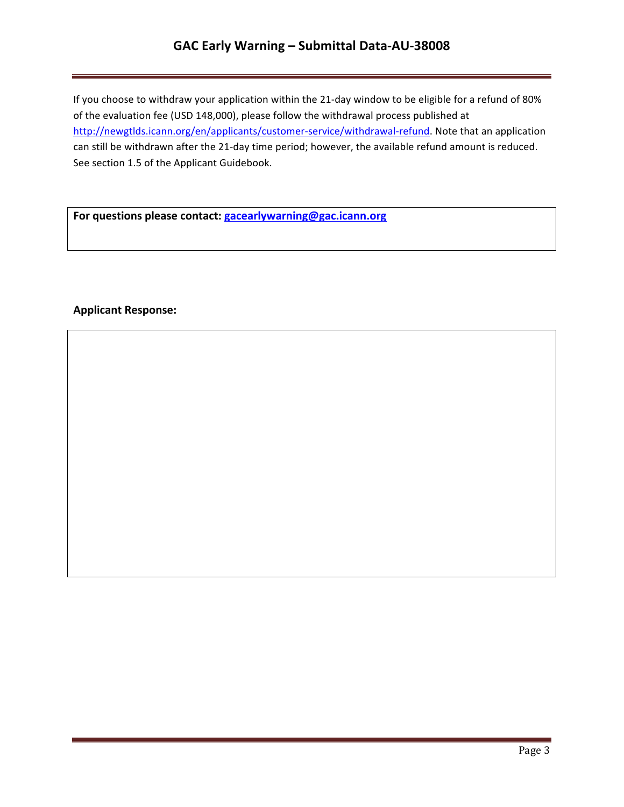# **GAC Early Warning – Submittal Data-AU-38008**

If you choose to withdraw your application within the 21-day window to be eligible for a refund of 80% of the evaluation fee (USD 148,000), please follow the withdrawal process published at http://newgtlds.icann.org/en/applicants/customer-service/withdrawal-refund. Note that an application can still be withdrawn after the 21-day time period; however, the available refund amount is reduced. See section 1.5 of the Applicant Guidebook.

For questions please contact: **gacearlywarning@gac.icann.org** 

### **Applicant Response:**